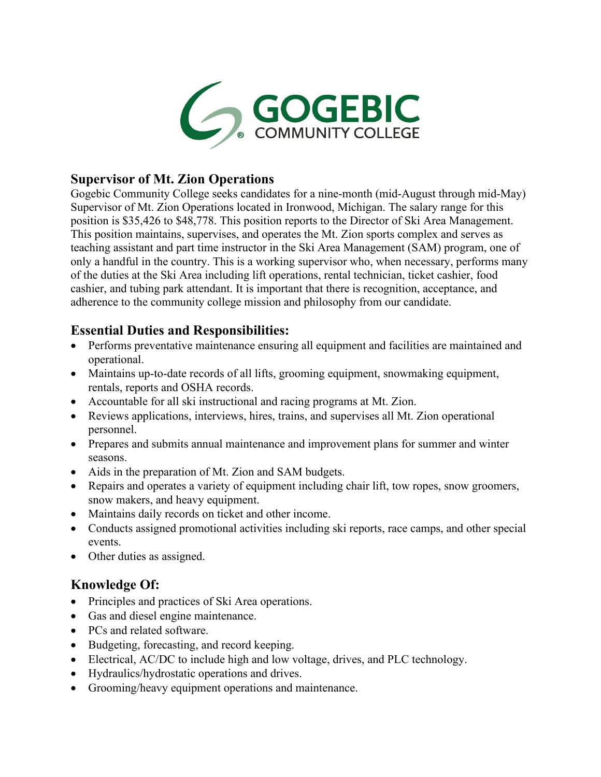

## **Supervisor of Mt. Zion Operations**

Gogebic Community College seeks candidates for a nine-month (mid-August through mid-May) Supervisor of Mt. Zion Operations located in Ironwood, Michigan. The salary range for this position is \$35,426 to \$48,778. This position reports to the Director of Ski Area Management. This position maintains, supervises, and operates the Mt. Zion sports complex and serves as teaching assistant and part time instructor in the Ski Area Management (SAM) program, one of only a handful in the country. This is a working supervisor who, when necessary, performs many of the duties at the Ski Area including lift operations, rental technician, ticket cashier, food cashier, and tubing park attendant. It is important that there is recognition, acceptance, and adherence to the community college mission and philosophy from our candidate.

# **Essential Duties and Responsibilities:**

- Performs preventative maintenance ensuring all equipment and facilities are maintained and operational.
- Maintains up-to-date records of all lifts, grooming equipment, snowmaking equipment, rentals, reports and OSHA records.
- Accountable for all ski instructional and racing programs at Mt. Zion.
- Reviews applications, interviews, hires, trains, and supervises all Mt. Zion operational personnel.
- Prepares and submits annual maintenance and improvement plans for summer and winter seasons.
- Aids in the preparation of Mt. Zion and SAM budgets.
- Repairs and operates a variety of equipment including chair lift, tow ropes, snow groomers, snow makers, and heavy equipment.
- Maintains daily records on ticket and other income.
- Conducts assigned promotional activities including ski reports, race camps, and other special events.
- Other duties as assigned.

# **Knowledge Of:**

- Principles and practices of Ski Area operations.
- Gas and diesel engine maintenance.
- PCs and related software.
- Budgeting, forecasting, and record keeping.
- Electrical, AC/DC to include high and low voltage, drives, and PLC technology.
- Hydraulics/hydrostatic operations and drives.
- Grooming/heavy equipment operations and maintenance.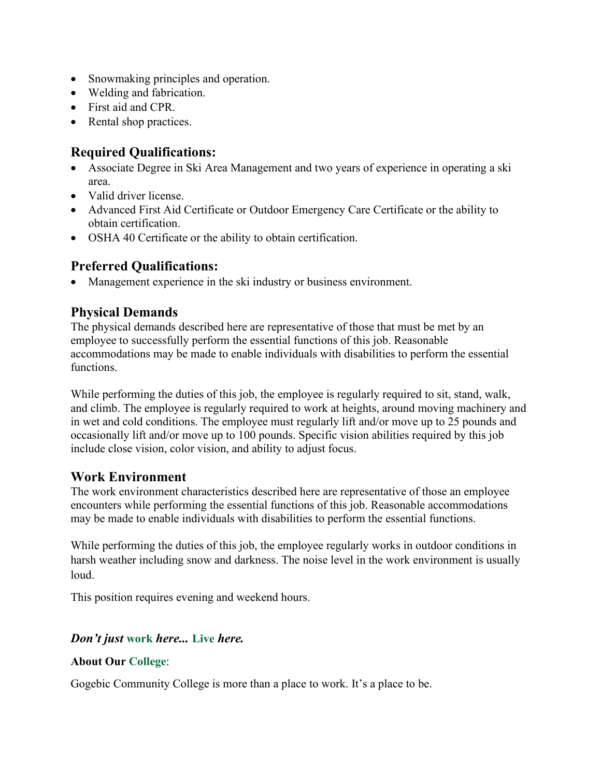- Snowmaking principles and operation.
- Welding and fabrication.
- First aid and CPR.
- Rental shop practices.

# **Required Qualifications:**

- Associate Degree in Ski Area Management and two years of experience in operating a ski area.
- Valid driver license.
- Advanced First Aid Certificate or Outdoor Emergency Care Certificate or the ability to obtain certification.
- OSHA 40 Certificate or the ability to obtain certification.

# **Preferred Qualifications:**

• Management experience in the ski industry or business environment.

### **Physical Demands**

The physical demands described here are representative of those that must be met by an employee to successfully perform the essential functions of this job. Reasonable accommodations may be made to enable individuals with disabilities to perform the essential functions.

While performing the duties of this job, the employee is regularly required to sit, stand, walk, and climb. The employee is regularly required to work at heights, around moving machinery and in wet and cold conditions. The employee must regularly lift and/or move up to 25 pounds and occasionally lift and/or move up to 100 pounds. Specific vision abilities required by this job include close vision, color vision, and ability to adjust focus.

### **Work Environment**

The work environment characteristics described here are representative of those an employee encounters while performing the essential functions of this job. Reasonable accommodations may be made to enable individuals with disabilities to perform the essential functions.

While performing the duties of this job, the employee regularly works in outdoor conditions in harsh weather including snow and darkness. The noise level in the work environment is usually loud.

This position requires evening and weekend hours.

### *Don't just* **work** *here...* **Live** *here.*

### **About Our College**:

Gogebic Community College is more than a place to work. It's a place to be.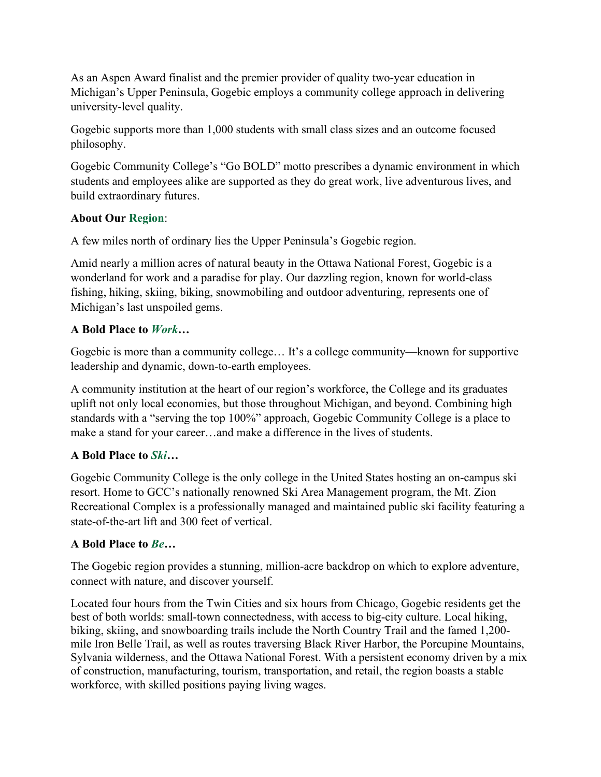As an Aspen Award finalist and the premier provider of quality two-year education in Michigan's Upper Peninsula, Gogebic employs a community college approach in delivering university-level quality.

Gogebic supports more than 1,000 students with small class sizes and an outcome focused philosophy.

Gogebic Community College's "Go BOLD" motto prescribes a dynamic environment in which students and employees alike are supported as they do great work, live adventurous lives, and build extraordinary futures.

### **About Our Region**:

A few miles north of ordinary lies the Upper Peninsula's Gogebic region.

Amid nearly a million acres of natural beauty in the Ottawa National Forest, Gogebic is a wonderland for work and a paradise for play. Our dazzling region, known for world-class fishing, hiking, skiing, biking, snowmobiling and outdoor adventuring, represents one of Michigan's last unspoiled gems.

### **A Bold Place to** *Work***…**

Gogebic is more than a community college… It's a college community—known for supportive leadership and dynamic, down-to-earth employees.

A community institution at the heart of our region's workforce, the College and its graduates uplift not only local economies, but those throughout Michigan, and beyond. Combining high standards with a "serving the top 100%" approach, Gogebic Community College is a place to make a stand for your career…and make a difference in the lives of students.

#### **A Bold Place to** *Ski…*

Gogebic Community College is the only college in the United States hosting an on-campus ski resort. Home to GCC's nationally renowned Ski Area Management program, the Mt. Zion Recreational Complex is a professionally managed and maintained public ski facility featuring a state-of-the-art lift and 300 feet of vertical.

### **A Bold Place to** *Be…*

The Gogebic region provides a stunning, million-acre backdrop on which to explore adventure, connect with nature, and discover yourself.

Located four hours from the Twin Cities and six hours from Chicago, Gogebic residents get the best of both worlds: small-town connectedness, with access to big-city culture. Local hiking, biking, skiing, and snowboarding trails include the North Country Trail and the famed 1,200 mile Iron Belle Trail, as well as routes traversing Black River Harbor, the Porcupine Mountains, Sylvania wilderness, and the Ottawa National Forest. With a persistent economy driven by a mix of construction, manufacturing, tourism, transportation, and retail, the region boasts a stable workforce, with skilled positions paying living wages.